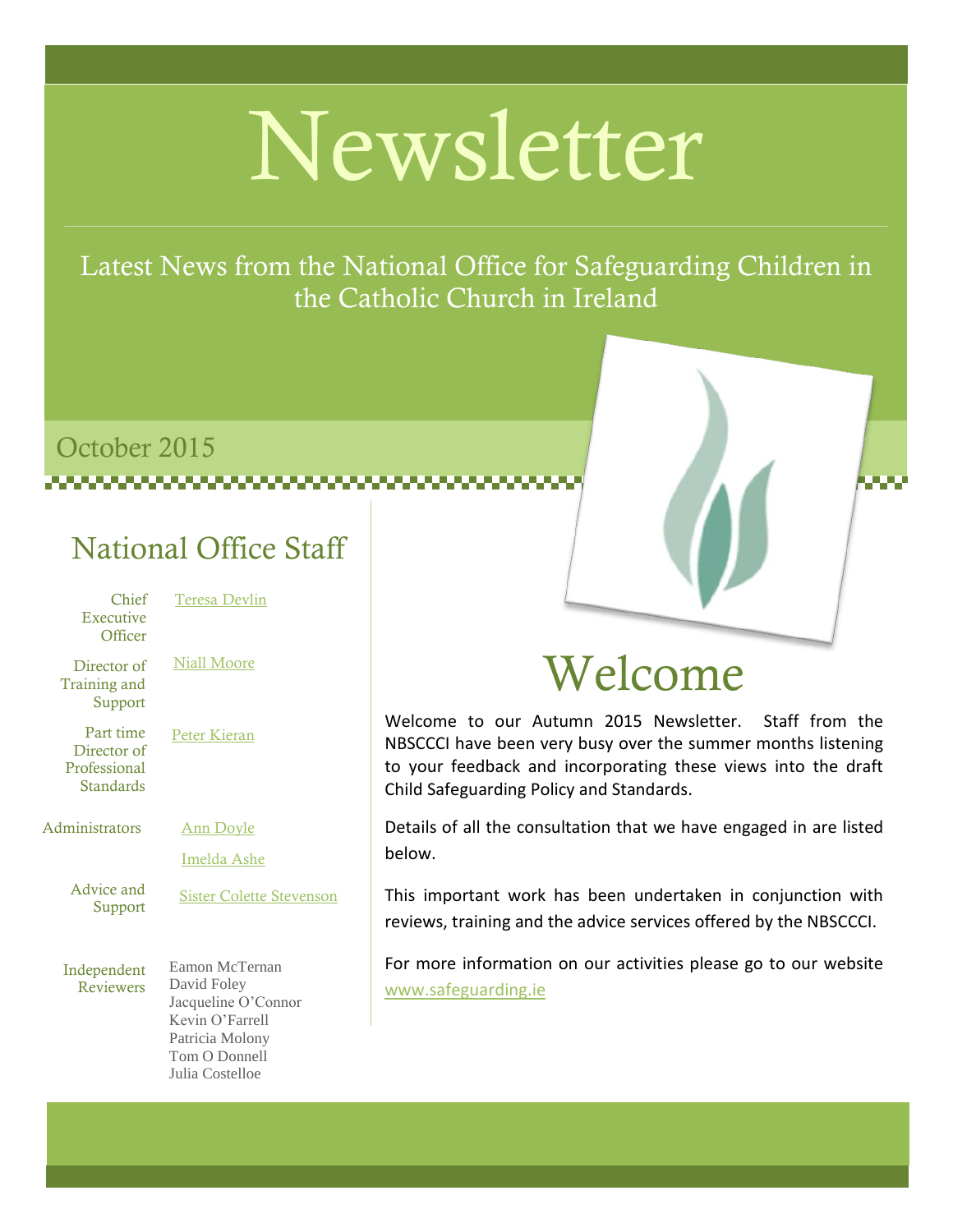# Newsletter

Latest News from the National Office for Safeguarding Children in the Catholic Church in Ireland

## October 2015

### National Office Staff

| Chief<br>Executive<br>Officer                         | <b>Teresa Devlin</b>                                                                                                           |
|-------------------------------------------------------|--------------------------------------------------------------------------------------------------------------------------------|
| Director of<br>Training and<br>Support                | Niall Moore                                                                                                                    |
| Part time<br>Director of<br>Professional<br>Standards | <b>Peter Kieran</b>                                                                                                            |
| Administrators                                        | <u>Ann Doyle</u><br>Imelda Ashe                                                                                                |
| Advice and<br>Support                                 | <b>Sister Colette Stevenson</b>                                                                                                |
| Independent<br><b>Reviewers</b>                       | Eamon McTernan<br>David Foley<br>Jacqueline O'Connor<br>Kevin O'Farrell<br>Patricia Molony<br>Tom O Donnell<br>Julia Costelloe |

# Welcome

Welcome to our Autumn 2015 Newsletter. Staff from the NBSCCCI have been very busy over the summer months listening to your feedback and incorporating these views into the draft Child Safeguarding Policy and Standards.

Details of all the consultation that we have engaged in are listed below.

This important work has been undertaken in conjunction with reviews, training and the advice services offered by the NBSCCCI.

For more information on our activities please go to our website <www.safeguarding.ie>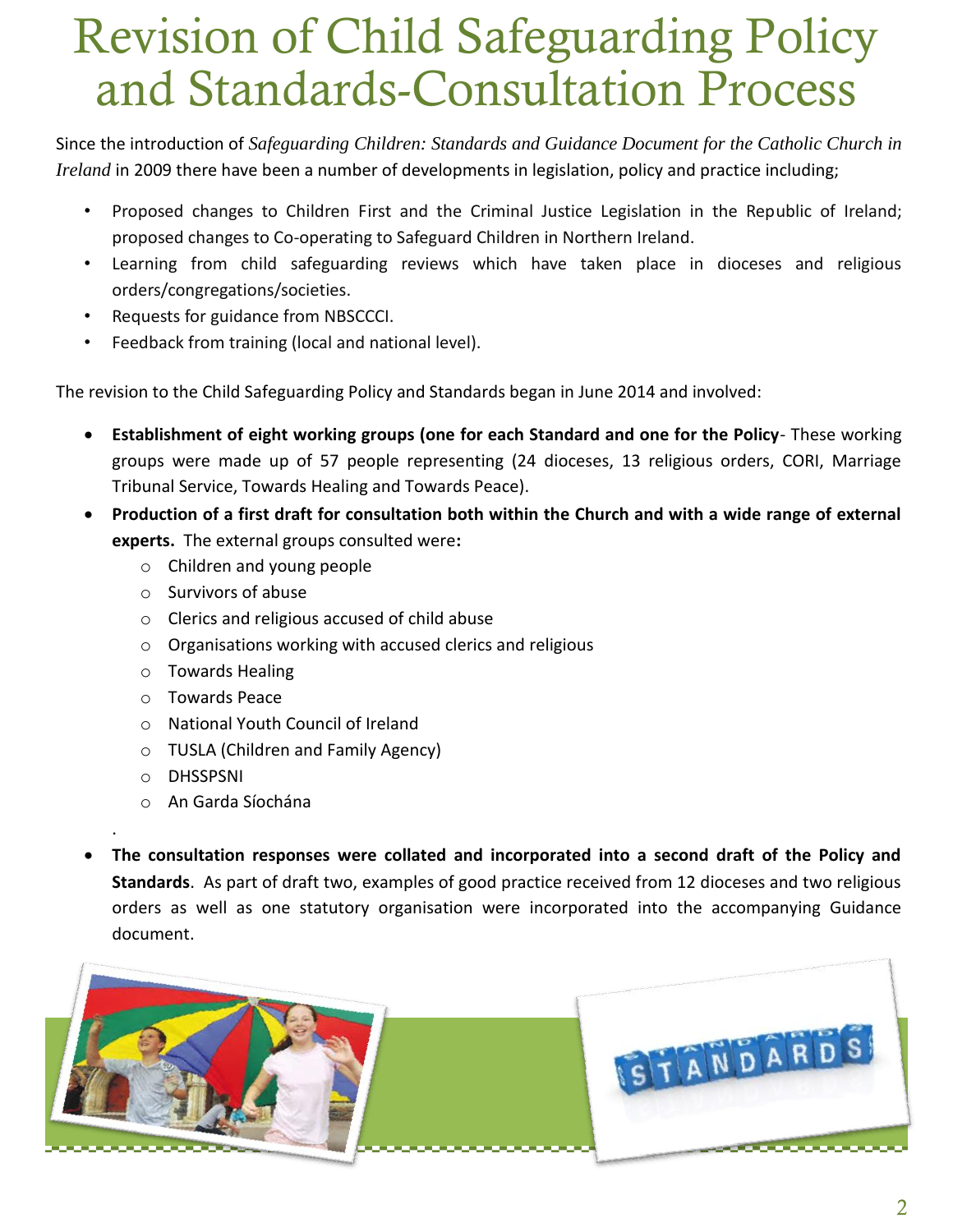# Revision of Child Safeguarding Policy and Standards-Consultation Process

Since the introduction of *Safeguarding Children: Standards and Guidance Document for the Catholic Church in Ireland* in 2009 there have been a number of developments in legislation, policy and practice including;

- Proposed changes to Children First and the Criminal Justice Legislation in the Republic of Ireland; proposed changes to Co-operating to Safeguard Children in Northern Ireland.
- Learning from child safeguarding reviews which have taken place in dioceses and religious orders/congregations/societies.
- Requests for guidance from NBSCCCI.
- Feedback from training (local and national level).

The revision to the Child Safeguarding Policy and Standards began in June 2014 and involved:

- **Establishment of eight working groups (one for each Standard and one for the Policy** These working groups were made up of 57 people representing (24 dioceses, 13 religious orders, CORI, Marriage Tribunal Service, Towards Healing and Towards Peace).
- **Production of a first draft for consultation both within the Church and with a wide range of external experts.** The external groups consulted were**:**
	- o Children and young people
	- o Survivors of abuse
	- o Clerics and religious accused of child abuse
	- o Organisations working with accused clerics and religious
	- o Towards Healing
	- o Towards Peace
	- o National Youth Council of Ireland
	- o TUSLA (Children and Family Agency)
	- o DHSSPSNI

.

- o An Garda Síochána
- **The consultation responses were collated and incorporated into a second draft of the Policy and Standards**. As part of draft two, examples of good practice received from 12 dioceses and two religious orders as well as one statutory organisation were incorporated into the accompanying Guidance document.

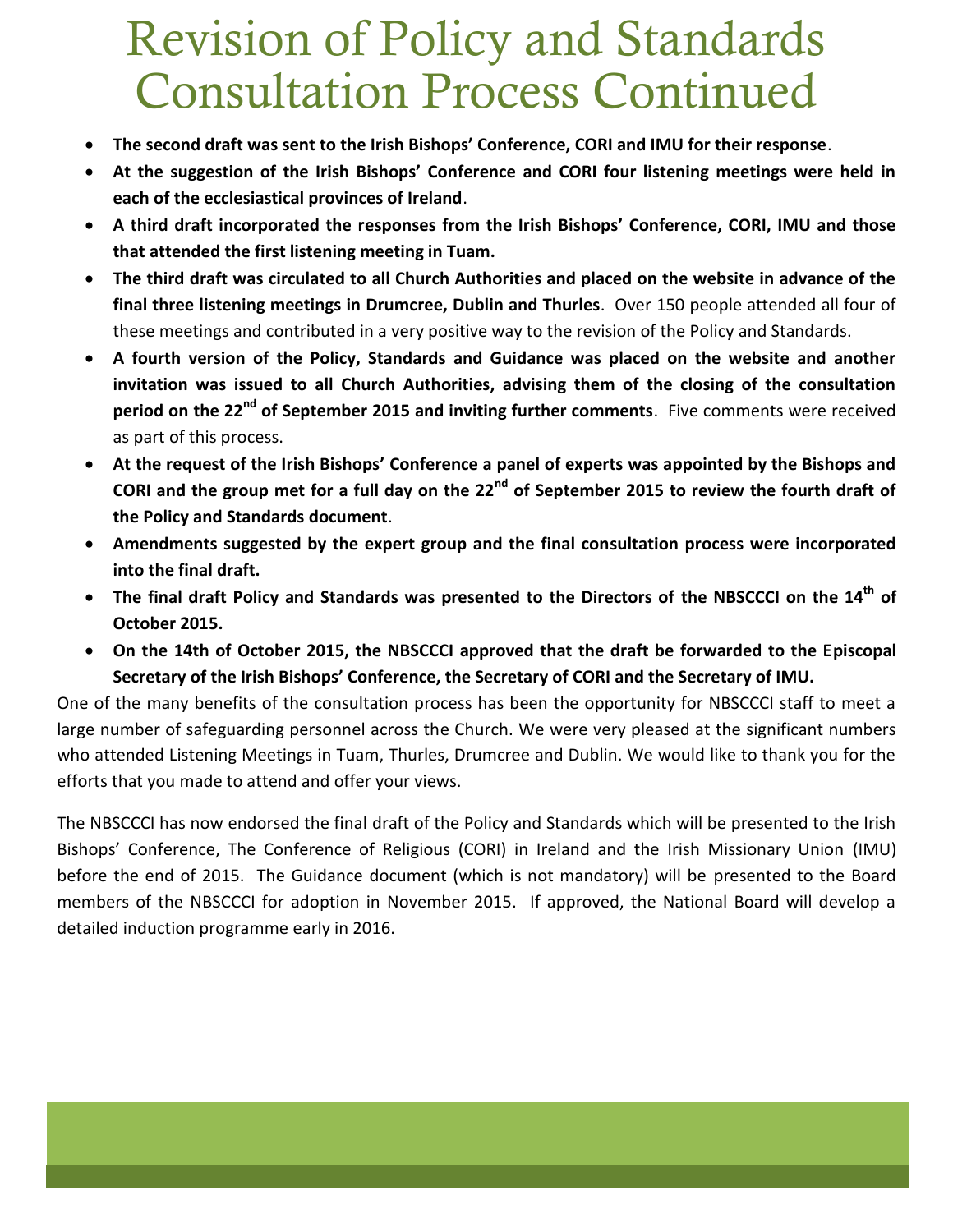# Revision of Policy and Standards Consultation Process Continued

- **The second draft was sent to the Irish Bishops' Conference, CORI and IMU for their response**.
- **At the suggestion of the Irish Bishops' Conference and CORI four listening meetings were held in each of the ecclesiastical provinces of Ireland**.
- **A third draft incorporated the responses from the Irish Bishops' Conference, CORI, IMU and those that attended the first listening meeting in Tuam.**
- **The third draft was circulated to all Church Authorities and placed on the website in advance of the final three listening meetings in Drumcree, Dublin and Thurles**. Over 150 people attended all four of these meetings and contributed in a very positive way to the revision of the Policy and Standards.
- **A fourth version of the Policy, Standards and Guidance was placed on the website and another invitation was issued to all Church Authorities, advising them of the closing of the consultation period on the 22nd of September 2015 and inviting further comments**. Five comments were received as part of this process.
- **At the request of the Irish Bishops' Conference a panel of experts was appointed by the Bishops and CORI and the group met for a full day on the 22nd of September 2015 to review the fourth draft of the Policy and Standards document**.
- **Amendments suggested by the expert group and the final consultation process were incorporated into the final draft.**
- **The final draft Policy and Standards was presented to the Directors of the NBSCCCI on the 14th of October 2015.**
- **On the 14th of October 2015, the NBSCCCI approved that the draft be forwarded to the Episcopal Secretary of the Irish Bishops' Conference, the Secretary of CORI and the Secretary of IMU.**

One of the many benefits of the consultation process has been the opportunity for NBSCCCI staff to meet a large number of safeguarding personnel across the Church. We were very pleased at the significant numbers who attended Listening Meetings in Tuam, Thurles, Drumcree and Dublin. We would like to thank you for the efforts that you made to attend and offer your views.

The NBSCCCI has now endorsed the final draft of the Policy and Standards which will be presented to the Irish Bishops' Conference, The Conference of Religious (CORI) in Ireland and the Irish Missionary Union (IMU) before the end of 2015. The Guidance document (which is not mandatory) will be presented to the Board members of the NBSCCCI for adoption in November 2015. If approved, the National Board will develop a detailed induction programme early in 2016.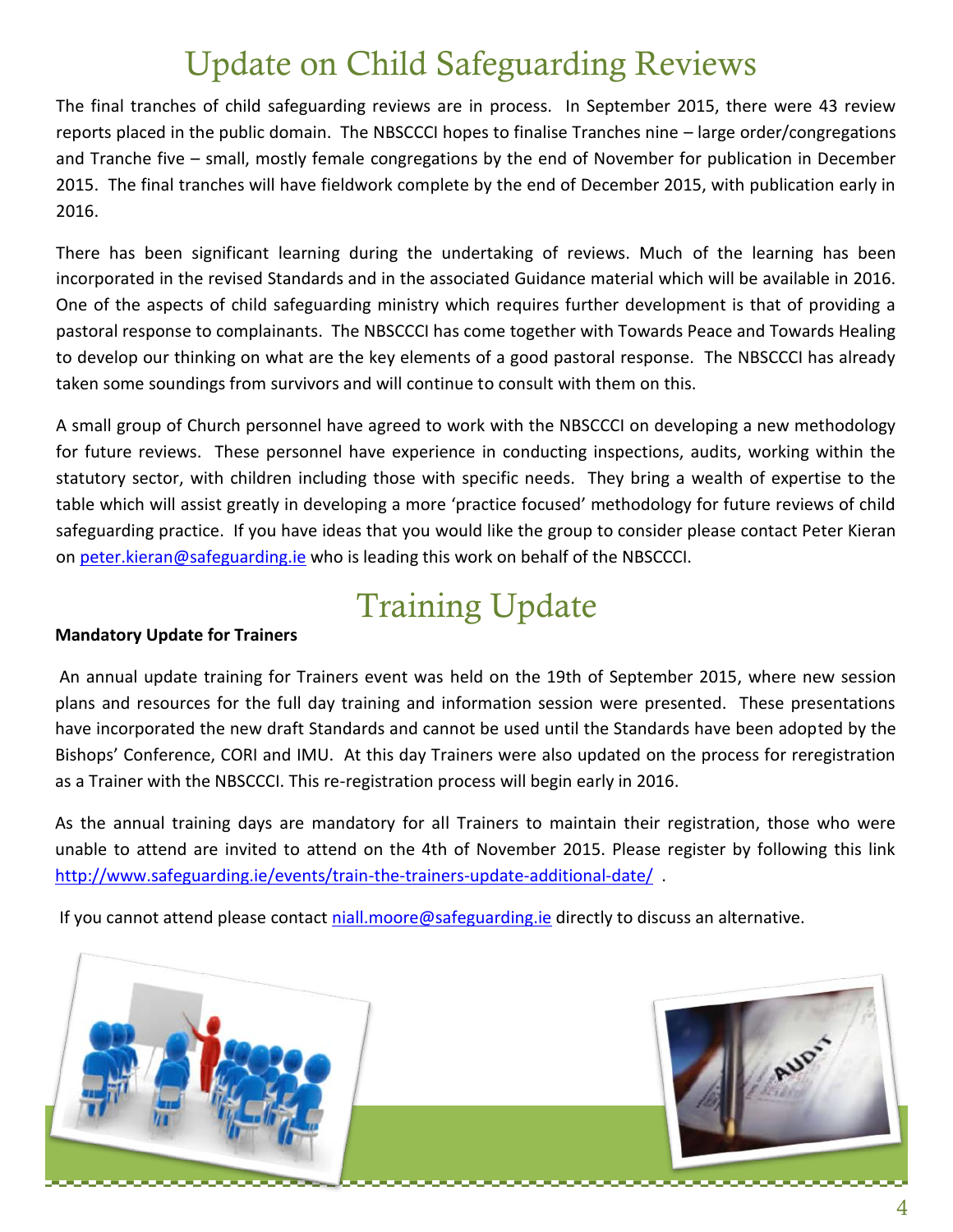# Update on Child Safeguarding Reviews

The final tranches of child safeguarding reviews are in process. In September 2015, there were 43 review reports placed in the public domain. The NBSCCCI hopes to finalise Tranches nine – large order/congregations and Tranche five – small, mostly female congregations by the end of November for publication in December 2015. The final tranches will have fieldwork complete by the end of December 2015, with publication early in 2016.

There has been significant learning during the undertaking of reviews. Much of the learning has been incorporated in the revised Standards and in the associated Guidance material which will be available in 2016. One of the aspects of child safeguarding ministry which requires further development is that of providing a pastoral response to complainants. The NBSCCCI has come together with Towards Peace and Towards Healing to develop our thinking on what are the key elements of a good pastoral response. The NBSCCCI has already taken some soundings from survivors and will continue to consult with them on this.

A small group of Church personnel have agreed to work with the NBSCCCI on developing a new methodology for future reviews. These personnel have experience in conducting inspections, audits, working within the statutory sector, with children including those with specific needs. They bring a wealth of expertise to the table which will assist greatly in developing a more 'practice focused' methodology for future reviews of child safeguarding practice. If you have ideas that you would like the group to consider please contact Peter Kieran on [peter.kieran@safeguarding.ie](mailto:peter.kieran@safeguarding.ie) who is leading this work on behalf of the NBSCCCI.

## Training Update

#### **Mandatory Update for Trainers**

An annual update training for Trainers event was held on the 19th of September 2015, where new session plans and resources for the full day training and information session were presented. These presentations have incorporated the new draft Standards and cannot be used until the Standards have been adopted by the Bishops' Conference, CORI and IMU. At this day Trainers were also updated on the process for reregistration as a Trainer with the NBSCCCI. This re-registration process will begin early in 2016.

As the annual training days are mandatory for all Trainers to maintain their registration, those who were unable to attend are invited to attend on the 4th of November 2015. Please register by following this link <http://www.safeguarding.ie/events/train-the-trainers-update-additional-date/>.

If you cannot attend please contact [niall.moore@safeguarding.ie](mailto:niall.moore@safeguarding.ie) directly to discuss an alternative.

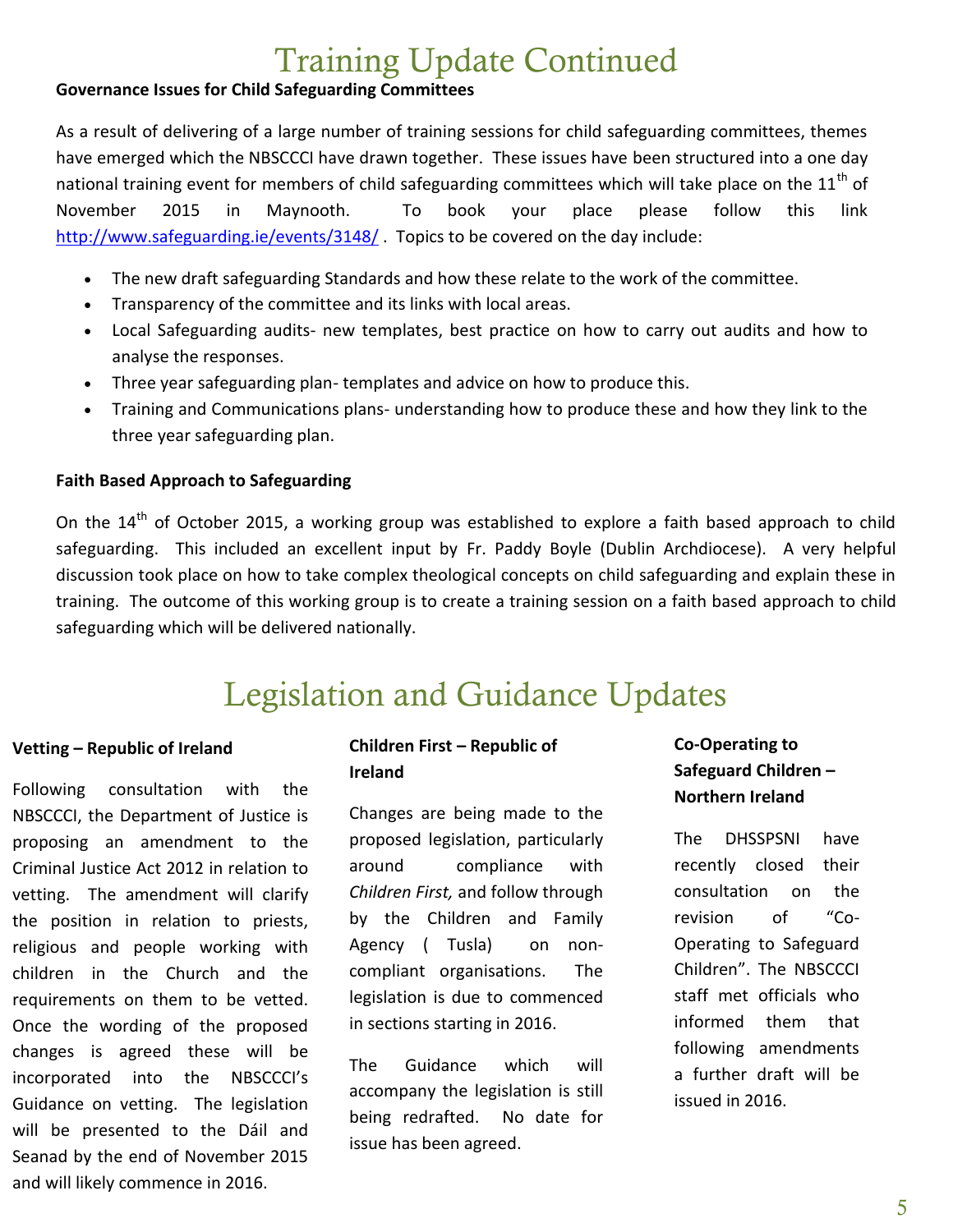### Training Update Continued

#### **Governance Issues for Child Safeguarding Committees**

As a result of delivering of a large number of training sessions for child safeguarding committees, themes have emerged which the NBSCCCI have drawn together. These issues have been structured into a one day national training event for members of child safeguarding committees which will take place on the  $11^{\text{th}}$  of November 2015 in Maynooth. To book your place please follow this link <http://www.safeguarding.ie/events/3148/>. Topics to be covered on the day include:

- The new draft safeguarding Standards and how these relate to the work of the committee.
- Transparency of the committee and its links with local areas.
- Local Safeguarding audits- new templates, best practice on how to carry out audits and how to analyse the responses.
- Three year safeguarding plan- templates and advice on how to produce this.
- Training and Communications plans- understanding how to produce these and how they link to the three year safeguarding plan.

#### **Faith Based Approach to Safeguarding**

On the 14<sup>th</sup> of October 2015, a working group was established to explore a faith based approach to child safeguarding. This included an excellent input by Fr. Paddy Boyle (Dublin Archdiocese). A very helpful discussion took place on how to take complex theological concepts on child safeguarding and explain these in training. The outcome of this working group is to create a training session on a faith based approach to child safeguarding which will be delivered nationally.

### Legislation and Guidance Updates

#### **Vetting – Republic of Ireland**

Following consultation with the NBSCCCI, the Department of Justice is proposing an amendment to the Criminal Justice Act 2012 in relation to vetting. The amendment will clarify the position in relation to priests, religious and people working with children in the Church and the requirements on them to be vetted. Once the wording of the proposed changes is agreed these will be incorporated into the NBSCCCI's Guidance on vetting. The legislation will be presented to the Dáil and Seanad by the end of November 2015 and will likely commence in 2016.

#### **Children First – Republic of Ireland**

Changes are being made to the proposed legislation, particularly around compliance with *Children First,* and follow through by the Children and Family Agency ( Tusla) on noncompliant organisations. The legislation is due to commenced in sections starting in 2016.

The Guidance which will accompany the legislation is still being redrafted. No date for issue has been agreed.

#### **Co-Operating to Safeguard Children – Northern Ireland**

The DHSSPSNI have recently closed their consultation on the revision of "Co-Operating to Safeguard Children". The NBSCCCI staff met officials who informed them that following amendments a further draft will be issued in 2016.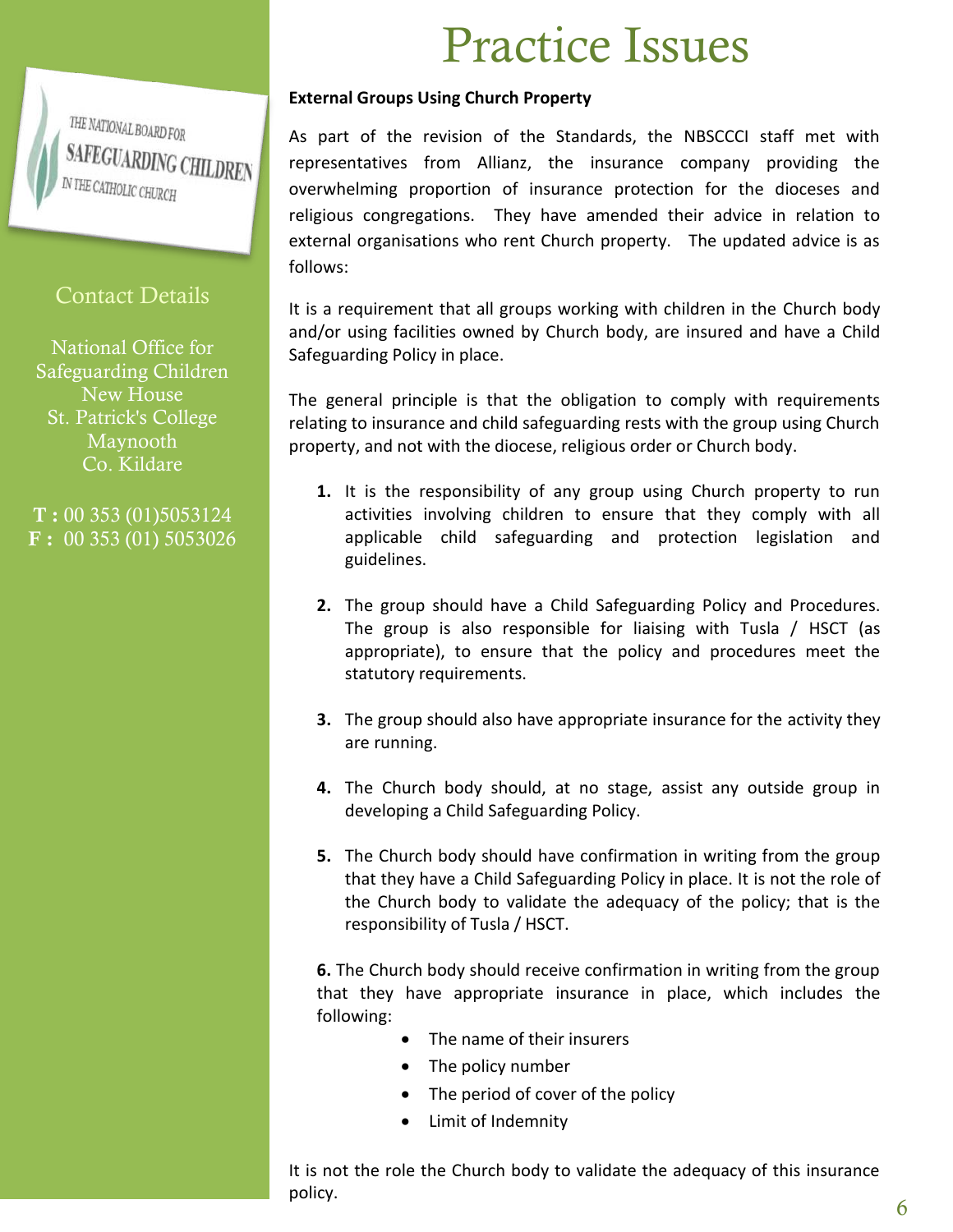THE NATIONAL BOARD FOR **SAFEGUARDING CHILDREN** IN THE CATHOLIC CHURCH

#### Contact Details

National Office for Safeguarding Children New House St. Patrick's College Maynooth Co. Kildare

**T :** 00 353 (01)5053124 **F :** 00 353 (01) 5053026

# Practice Issues

#### **External Groups Using Church Property**

As part of the revision of the Standards, the NBSCCCI staff met with representatives from Allianz, the insurance company providing the overwhelming proportion of insurance protection for the dioceses and religious congregations. They have amended their advice in relation to external organisations who rent Church property. The updated advice is as follows:

It is a requirement that all groups working with children in the Church body and/or using facilities owned by Church body, are insured and have a Child Safeguarding Policy in place.

The general principle is that the obligation to comply with requirements relating to insurance and child safeguarding rests with the group using Church property, and not with the diocese, religious order or Church body.

- **1.** It is the responsibility of any group using Church property to run activities involving children to ensure that they comply with all applicable child safeguarding and protection legislation and guidelines.
- **2.** The group should have a Child Safeguarding Policy and Procedures. The group is also responsible for liaising with Tusla / HSCT (as appropriate), to ensure that the policy and procedures meet the statutory requirements.
- **3.** The group should also have appropriate insurance for the activity they are running.
- **4.** The Church body should, at no stage, assist any outside group in developing a Child Safeguarding Policy.
- **5.** The Church body should have confirmation in writing from the group that they have a Child Safeguarding Policy in place. It is not the role of the Church body to validate the adequacy of the policy; that is the responsibility of Tusla / HSCT.

**6.** The Church body should receive confirmation in writing from the group that they have appropriate insurance in place, which includes the following:

- The name of their insurers
- The policy number
- The period of cover of the policy
- Limit of Indemnity

It is not the role the Church body to validate the adequacy of this insurance policy.